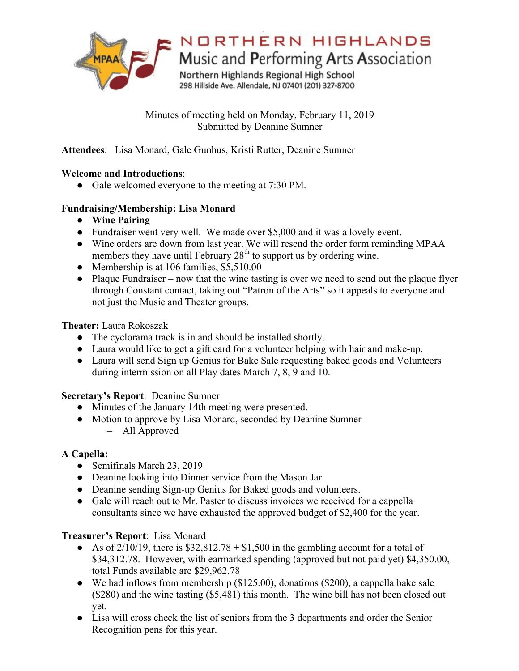

Minutes of meeting held on Monday, February 11, 2019 Submitted by Deanine Sumner

**Attendees**: Lisa Monard, Gale Gunhus, Kristi Rutter, Deanine Sumner

### **Welcome and Introductions**:

• Gale welcomed everyone to the meeting at 7:30 PM.

### **Fundraising/Membership: Lisa Monard**

- **Wine Pairing**
- Fundraiser went very well. We made over \$5,000 and it was a lovely event.
- Wine orders are down from last year. We will resend the order form reminding MPAA members they have until February  $28<sup>th</sup>$  to support us by ordering wine.
- Membership is at 106 families, \$5,510.00
- Plaque Fundraiser now that the wine tasting is over we need to send out the plaque flyer through Constant contact, taking out "Patron of the Arts" so it appeals to everyone and not just the Music and Theater groups.

**Theater:** Laura Rokoszak

- The cyclorama track is in and should be installed shortly.
- Laura would like to get a gift card for a volunteer helping with hair and make-up.
- Laura will send Sign up Genius for Bake Sale requesting baked goods and Volunteers during intermission on all Play dates March 7, 8, 9 and 10.

# **Secretary's Report**: Deanine Sumner

- Minutes of the January 14th meeting were presented.
- Motion to approve by Lisa Monard, seconded by Deanine Sumner – All Approved

# **A Capella:**

- Semifinals March 23, 2019
- Deanine looking into Dinner service from the Mason Jar.
- Deanine sending Sign-up Genius for Baked goods and volunteers.
- Gale will reach out to Mr. Paster to discuss invoices we received for a cappella consultants since we have exhausted the approved budget of \$2,400 for the year.

# **Treasurer's Report**: Lisa Monard

- As of  $2/10/19$ , there is \$32,812.78 + \$1,500 in the gambling account for a total of \$34,312.78. However, with earmarked spending (approved but not paid yet) \$4,350.00, total Funds available are \$29,962.78
- We had inflows from membership  $(\$125.00)$ , donations  $(\$200)$ , a cappella bake sale (\$280) and the wine tasting (\$5,481) this month. The wine bill has not been closed out yet.
- Lisa will cross check the list of seniors from the 3 departments and order the Senior Recognition pens for this year.